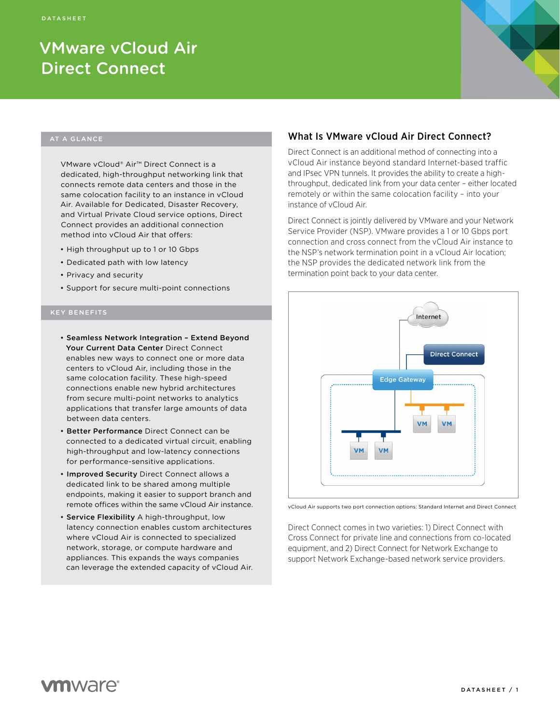# VMware vCloud Air Direct Connect

#### AT A GLANCE

VMware vCloud® Air™ Direct Connect is a dedicated, high-throughput networking link that connects remote data centers and those in the same colocation facility to an instance in vCloud Air. Available for Dedicated, Disaster Recovery, and Virtual Private Cloud service options, Direct Connect provides an additional connection method into vCloud Air that offers:

- High throughput up to 1 or 10 Gbps
- Dedicated path with low latency
- Privacy and security
- Support for secure multi-point connections

- Seamless Network Integration Extend Beyond Your Current Data Center Direct Connect enables new ways to connect one or more data centers to vCloud Air, including those in the same colocation facility. These high-speed connections enable new hybrid architectures from secure multi-point networks to analytics applications that transfer large amounts of data between data centers.
- Better Performance Direct Connect can be connected to a dedicated virtual circuit, enabling high-throughput and low-latency connections for performance-sensitive applications.
- Improved Security Direct Connect allows a dedicated link to be shared among multiple endpoints, making it easier to support branch and remote offices within the same vCloud Air instance.
- Service Flexibility A high-throughput, low latency connection enables custom architectures where vCloud Air is connected to specialized network, storage, or compute hardware and appliances. This expands the ways companies can leverage the extended capacity of vCloud Air.

## What Is VMware vCloud Air Direct Connect?

Direct Connect is an additional method of connecting into a vCloud Air instance beyond standard Internet-based traffic and IPsec VPN tunnels. It provides the ability to create a highthroughput, dedicated link from your data center – either located remotely or within the same colocation facility – into your instance of vCloud Air.

Direct Connect is jointly delivered by VMware and your Network Service Provider (NSP). VMware provides a 1 or 10 Gbps port connection and cross connect from the vCloud Air instance to the NSP's network termination point in a vCloud Air location; the NSP provides the dedicated network link from the termination point back to your data center.



vCloud Air supports two port connection options: Standard Internet and Direct Connect

Direct Connect comes in two varieties: 1) Direct Connect with Cross Connect for private line and connections from co-located equipment, and 2) Direct Connect for Network Exchange to support Network Exchange-based network service providers.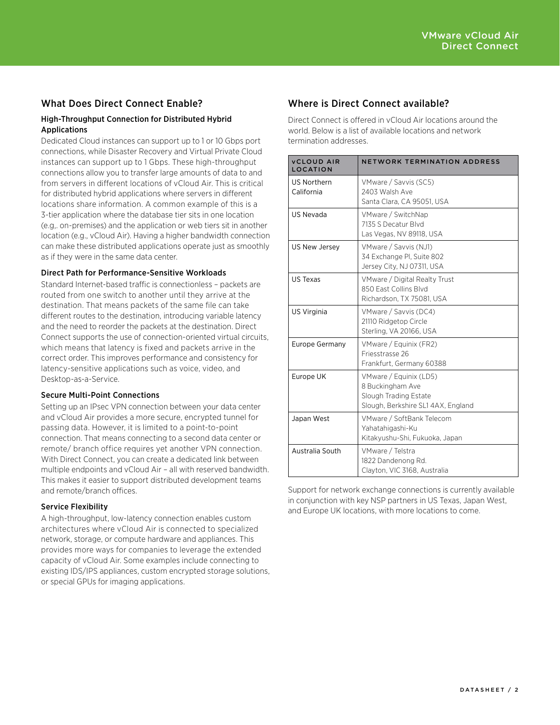# What Does Direct Connect Enable?

#### High-Throughput Connection for Distributed Hybrid Applications

Dedicated Cloud instances can support up to 1 or 10 Gbps port connections, while Disaster Recovery and Virtual Private Cloud instances can support up to 1 Gbps. These high-throughput connections allow you to transfer large amounts of data to and from servers in different locations of vCloud Air. This is critical for distributed hybrid applications where servers in different locations share information. A common example of this is a 3-tier application where the database tier sits in one location (e.g,. on-premises) and the application or web tiers sit in another location (e.g., vCloud Air). Having a higher bandwidth connection can make these distributed applications operate just as smoothly as if they were in the same data center.

#### Direct Path for Performance-Sensitive Workloads

Standard Internet-based traffic is connectionless – packets are routed from one switch to another until they arrive at the destination. That means packets of the same file can take different routes to the destination, introducing variable latency and the need to reorder the packets at the destination. Direct Connect supports the use of connection-oriented virtual circuits, which means that latency is fixed and packets arrive in the correct order. This improves performance and consistency for latency-sensitive applications such as voice, video, and Desktop-as-a-Service.

#### Secure Multi-Point Connections

Setting up an IPsec VPN connection between your data center and vCloud Air provides a more secure, encrypted tunnel for passing data. However, it is limited to a point-to-point connection. That means connecting to a second data center or remote/ branch office requires yet another VPN connection. With Direct Connect, you can create a dedicated link between multiple endpoints and vCloud Air – all with reserved bandwidth. This makes it easier to support distributed development teams and remote/branch offices.

#### Service Flexibility

A high-throughput, low-latency connection enables custom architectures where vCloud Air is connected to specialized network, storage, or compute hardware and appliances. This provides more ways for companies to leverage the extended capacity of vCloud Air. Some examples include connecting to existing IDS/IPS appliances, custom encrypted storage solutions, or special GPUs for imaging applications.

# Where is Direct Connect available?

Direct Connect is offered in vCloud Air locations around the world. Below is a list of available locations and network termination addresses.

| <b>VCLOUD AIR</b><br><b>LOCATION</b> | NETWORK TERMINATION ADDRESS                                                                              |
|--------------------------------------|----------------------------------------------------------------------------------------------------------|
| US Northern<br>California            | VMware / Savvis (SC5)<br>2403 Walsh Ave<br>Santa Clara, CA 95051, USA                                    |
| <b>US Nevada</b>                     | VMware / SwitchNap<br>7135 S Decatur Blvd<br>Las Vegas, NV 89118, USA                                    |
| US New Jersey                        | VMware / Savvis (NJ1)<br>34 Exchange PI, Suite 802<br>Jersey City, NJ 07311, USA                         |
| US Texas                             | VMware / Digital Realty Trust<br>850 Fast Collins Blvd<br>Richardson, TX 75081, USA                      |
| US Virginia                          | VMware / Savvis (DC4)<br>21110 Ridgetop Circle<br>Sterling, VA 20166, USA                                |
| Europe Germany                       | VMware / Equinix (FR2)<br>Friesstrasse 26<br>Frankfurt, Germany 60388                                    |
| Europe UK                            | VMware / Equinix (LD5)<br>8 Buckingham Ave<br>Slough Trading Estate<br>Slough, Berkshire SL14AX, England |
| Japan West                           | VMware / SoftBank Telecom<br>Yahatahigashi-Ku<br>Kitakyushu-Shi, Fukuoka, Japan                          |
| Australia South                      | VMware / Telstra<br>1822 Dandenong Rd.<br>Clayton, VIC 3168, Australia                                   |

Support for network exchange connections is currently available in conjunction with key NSP partners in US Texas, Japan West, and Europe UK locations, with more locations to come.